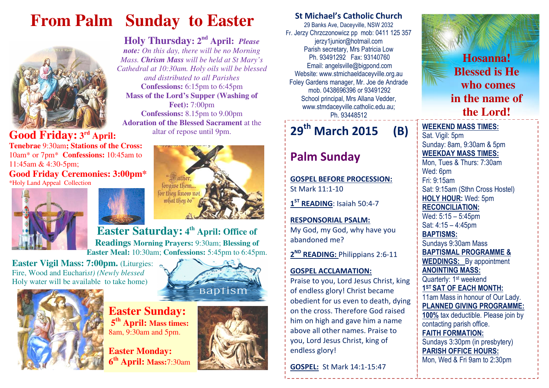# **From Palm Sunday to Easter**



# 9pm. **Good Friday: 3rd April:**

**Tenebrae** 9:30am**; Stations of the Cross:**  10am\* or 7pm\* **Confessions:** 10:45am to 11:45am & 4:30-5pm;**Good Friday Ceremonies: 3:00pm\*** 

\*Holy Land Appeal Collection







**Holy Thursday: 2nd April:** *Please note: On this day, there will be no Morning Mass. Chrism Mass will be held at St Mary's Cathedral at 10:30am. Holy oils will be blessed and distributed to all Parishes* **Confessions:** 6:15pm to 6:45pm **Mass of the Lord's Supper (Washing of Feet):** 7:00pm **Confessions:** 8.15pm to 9.00pm **Adoration of the Blessed Sacrament** at the altar of repose until

# **Easter Saturday: 4th April: Office of Readings Morning Prayers:** 9:30am; **Blessing of Easter Meal:** 10:30am; **Confessions:** 5:45pm to 6:45pm.

**Easter Vigil Mass: 7:00pm.** (Liturgies: Fire, Wood and Euchari*st) (Newly blessed* Holy water will be available to take home)



**Easter Sunday: <sup>5</sup>th April: Mass times:** 8am, 9:30am and 5pm.

**Easter Monday: <sup>6</sup>th April: Mass:**7:30am





## St Michael's Catholic Church

29 Banks Ave, Daceyville, NSW 2032 Fr. Jerzy Chrzczonowicz pp mob: 0411 125 357 jerzy1junior@hotmail.com Parish secretary, Mrs Patricia Low Ph. 93491292 Fax: 93140760 Email: angelsville@bigpond.com Website: www.stmichaeldaceyville.org.au Foley Gardens manager, Mr. Joe de Andrade mob. 0438696396 or 93491292 School principal, Mrs Allana Vedder, www.stmdaceyville.catholic.edu.au; Ph. 93448512

#### 29<sup>th</sup> March 2015 B)

# Palm Sunday

GOSPEL BEFORE PROCESSION:St Mark 11:1-10

1<sup>ST</sup> READING: Isaiah 50:4-7

RESPONSORIAL PSALM: My God, my God, why have you abandoned me?

2<sup>ND</sup> READING: Philippians 2:6-11

#### GOSPEL ACCLAMATION:

Praise to you, Lord Jesus Christ, king of endless glory! Christ became obedient for us even to death, dying on the cross. Therefore God raised him on high and gave him a name above all other names. Praise to you, Lord Jesus Christ, king of endless glory!

GOSPEL: St Mark 14:1-15:47



### WEEKEND MASS TIMES:

Sat. Vigil: 5pm Sunday: 8am, 9:30am & 5pm WEEKDAY MASS TIMES: Mon, Tues & Thurs: 7:30am Wed: 6pm Fri: 9:15am Sat: 9:15am (Sthn Cross Hostel) HOLY HOUR: Wed: 5pm RECONCILIATION: Wed: 5:15 – 5:45pm Sat: 4:15 – 4:45pm BAPTISMS: Sundays 9:30am Mass BAPTISMAL PROGRAMME & WEDDINGS: By appointment ANOINTING MASS: Quarterly: 1<sup>st</sup> weekend 1<sup>ST</sup> SAT OF EACH MONTH: 11am Mass in honour of Our Lady. PLANNED GIVING PROGRAMME: 100% tax deductible. Please join by contacting parish office. FAITH FORMATION: Sundays 3:30pm (in presbytery) PARISH OFFICE HOURS: Mon, Wed & Fri 9am to 2:30pm